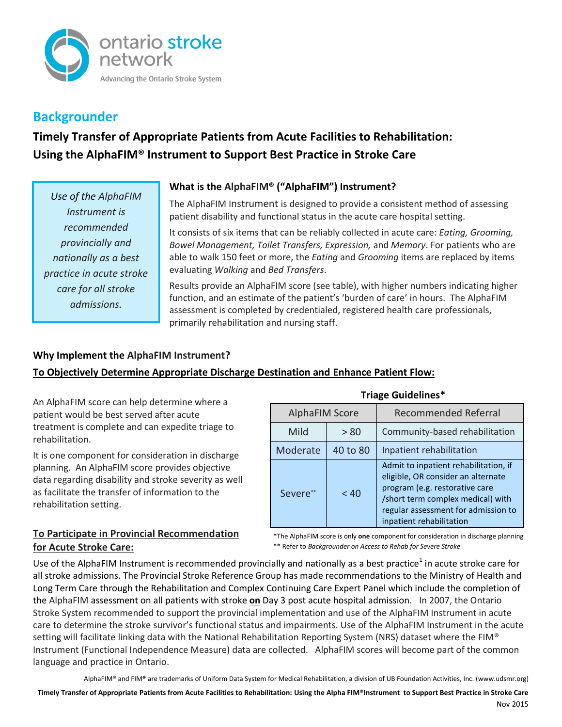

## **Backgrounder**

# **Timely Transfer of Appropriate Patients from Acute Facilities to Rehabilitation: Using the AlphaFIM® Instrument to Support Best Practice in Stroke Care**

*Use of the AlphaFIM Instrument is recommended provincially and nationally as a best practice in acute stroke care for all stroke admissions.*

## **What is the AlphaFIM® ("AlphaFIM") Instrument?**

The AlphaFIM Instrument is designed to provide a consistent method of assessing patient disability and functional status in the acute care hospital setting.

It consists of six items that can be reliably collected in acute care: *Eating, Grooming, Bowel Management, Toilet Transfers, Expression,* and *Memory*. For patients who are able to walk 150 feet or more, the *Eating* and *Grooming* items are replaced by items evaluating *Walking* and *Bed Transfers*.

Results provide an AlphaFIM score (see table), with higher numbers indicating higher function, and an estimate of the patient's 'burden of care' in hours. The AlphaFIM assessment is completed by credentialed, registered health care professionals, primarily rehabilitation and nursing staff.

### **Why Implement the AlphaFIM Instrument?**

## **To Objectively Determine Appropriate Discharge Destination and Enhance Patient Flow:**

An AlphaFIM score can help determine where a patient would be best served after acute treatment is complete and can expedite triage to rehabilitation.

It is one component for consideration in discharge planning. An AlphaFIM score provides objective data regarding disability and stroke severity as well as facilitate the transfer of information to the rehabilitation setting.

## AlphaFIM Score | Recommended Referral Mild  $\vert$  > 80 Community-based rehabilitation Moderate  $\vert$  40 to 80  $\vert$  Inpatient rehabilitation Severe\*\* | <40 Admit to inpatient rehabilitation, if eligible, OR consider an alternate program (e.g. restorative care /short term complex medical) with regular assessment for admission to inpatient rehabilitation

#### **Triage Guidelines\***

\*The AlphaFIM score is only **one** component for consideration in discharge planning \*\* Refer to *Backgrounder on Access to Rehab for Severe Stroke*

### **To Participate in Provincial Recommendation for Acute Stroke Care:**

Use of the AlphaFIM Instrument is recommended provincially and nationally as a best practice<sup>1</sup> in acute stroke care for all stroke admissions. The Provincial Stroke Reference Group has made recommendations to the Ministry of Health and Long Term Care through the Rehabilitation and Complex Continuing Care Expert Panel which include the completion of the AlphaFIM assessment on all patients with stroke **on** Day 3 post acute hospital admission. In 2007, the Ontario Stroke System recommended to support the provincial implementation and use of the AlphaFIM Instrument in acute care to determine the stroke survivor's functional status and impairments. Use of the AlphaFIM Instrument in the acute setting will facilitate linking data with the National Rehabilitation Reporting System (NRS) dataset where the FIM® Instrument (Functional Independence Measure) data are collected. AlphaFIM scores will become part of the common language and practice in Ontario.

AlphaFIM® and FIM**®** are trademarks of Uniform Data System for Medical Rehabilitation, a division of UB Foundation Activities, Inc. (www.udsmr.org)

**Timely Transfer of Appropriate Patients from Acute Facilities to Rehabilitation: Using the Alpha FIM®Instrument to Support Best Practice in Stroke Care**